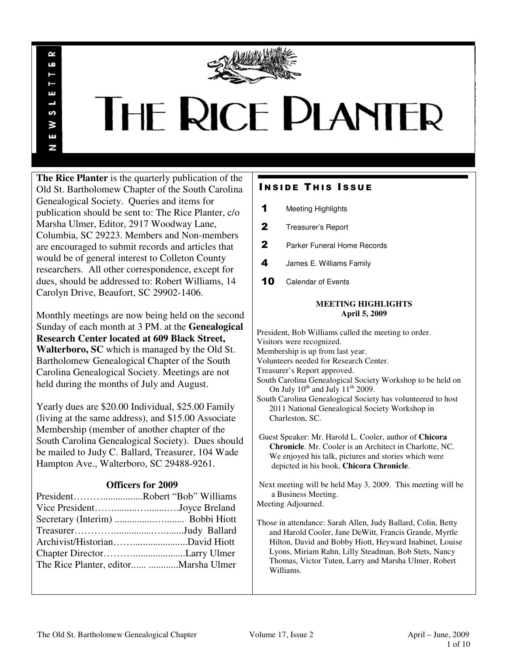

# **THE RICE PLANTER**

**The Rice Planter** is the quarterly publication of the Old St. Bartholomew Chapter of the South Carolina Genealogical Society. Queries and items for publication should be sent to: The Rice Planter, c/o Marsha Ulmer, Editor, 2917 Woodway Lane, Columbia, SC 29223. Members and Non-members are encouraged to submit records and articles that would be of general interest to Colleton County researchers. All other correspondence, except for dues, should be addressed to: Robert Williams, 14 Carolyn Drive, Beaufort, SC 29902-1406.

R uń

П

S š Ŧ N

Monthly meetings are now being held on the second Sunday of each month at 3 PM. at the **Genealogical Research Center located at 609 Black Street, Walterboro, SC** which is managed by the Old St. Bartholomew Genealogical Chapter of the South Carolina Genealogical Society. Meetings are not held during the months of July and August.

Yearly dues are \$20.00 Individual, \$25.00 Family (living at the same address), and \$15.00 Associate Membership (member of another chapter of the South Carolina Genealogical Society). Dues should be mailed to Judy C. Ballard, Treasurer, 104 Wade Hampton Ave., Walterboro, SC 29488-9261.

# **Officers for 2009**

| PresidentRobert "Bob" Williams |  |
|--------------------------------|--|
| Vice PresidentJoyce Breland    |  |
|                                |  |
|                                |  |
|                                |  |
|                                |  |
|                                |  |

# **INSIDE THIS ISSUE**

- 1 Meeting Highlights
- 2 Treasurer's Report
- 2 Parker Funeral Home Records
- 4 James E. Williams Family
- 10 Calendar of Events

# **MEETING HIGHLIGHTS April 5, 2009**

President, Bob Williams called the meeting to order. Visitors were recognized. Membership is up from last year. Volunteers needed for Research Center. Treasurer's Report approved. South Carolina Genealogical Society Workshop to be held on On July  $10^{th}$  and July  $11^{th}$  2009. South Carolina Genealogical Society has volunteered to host 2011 National Genealogical Society Workshop in Charleston, SC. Guest Speaker: Mr. Harold L. Cooler, author of **Chicora Chronicle**. Mr. Cooler is an Architect in Charlotte, NC. We enjoyed his talk, pictures and stories which were depicted in his book, **Chicora Chronicle**.

 Next meeting will be held May 3, 2009. This meeting will be a Business Meeting.

Meeting Adjourned.

Those in attendance: Sarah Allen, Judy Ballard, Colin, Betty and Harold Cooler, Jane DeWitt, Francis Grande, Myrtle Hilton, David and Bobby Hiott, Heyward Inabinet, Louise Lyons, Miriam Rahn, Lilly Steadman, Bob Stets, Nancy Thomas, Victor Tuten, Larry and Marsha Ulmer, Robert Williams.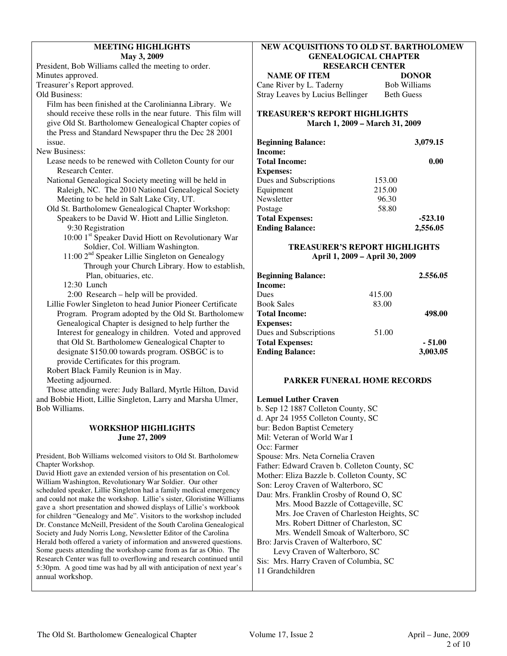# **MEETING HIGHLIGHTS May 3, 2009**

President, Bob Williams called the meeting to order. Minutes approved.

Treasurer's Report approved.

Old Business:

- Film has been finished at the Carolinianna Library. We should receive these rolls in the near future. This film will give Old St. Bartholomew Genealogical Chapter copies of the Press and Standard Newspaper thru the Dec 28 2001 issue.
- New Business:
	- Lease needs to be renewed with Colleton County for our Research Center.
	- National Genealogical Society meeting will be held in Raleigh, NC. The 2010 National Genealogical Society Meeting to be held in Salt Lake City, UT.
	- Old St. Bartholomew Genealogical Chapter Workshop: Speakers to be David W. Hiott and Lillie Singleton.
		- 9:30 Registration 10:00 1<sup>st</sup> Speaker David Hiott on Revolutionary War
		- Soldier, Col. William Washington.
		- $11:00$   $2<sup>nd</sup>$  Speaker Lillie Singleton on Genealogy Through your Church Library. How to establish, Plan, obituaries, etc.

12:30 Lunch

- 2:00 Research help will be provided.
- Lillie Fowler Singleton to head Junior Pioneer Certificate Program. Program adopted by the Old St. Bartholomew Genealogical Chapter is designed to help further the Interest for genealogy in children. Voted and approved that Old St. Bartholomew Genealogical Chapter to designate \$150.00 towards program. OSBGC is to provide Certificates for this program.

 Robert Black Family Reunion is in May. Meeting adjourned.

 Those attending were: Judy Ballard, Myrtle Hilton, David and Bobbie Hiott, Lillie Singleton, Larry and Marsha Ulmer, Bob Williams.

# **WORKSHOP HIGHLIGHTS June 27, 2009**

President, Bob Williams welcomed visitors to Old St. Bartholomew Chapter Workshop.

David Hiott gave an extended version of his presentation on Col. William Washington, Revolutionary War Soldier. Our other scheduled speaker, Lillie Singleton had a family medical emergency and could not make the workshop. Lillie's sister, Gloristine Williams gave a short presentation and showed displays of Lillie's workbook for children "Genealogy and Me". Visitors to the workshop included Dr. Constance McNeill, President of the South Carolina Genealogical Society and Judy Norris Long, Newsletter Editor of the Carolina Herald both offered a variety of information and answered questions. Some guests attending the workshop came from as far as Ohio. The Research Center was full to overflowing and research continued until 5:30pm. A good time was had by all with anticipation of next year's annual workshop.

# **NEW ACQUISITIONS TO OLD ST. BARTHOLOMEW GENEALOGICAL CHAPTER RESEARCH CENTER**

**NAME OF ITEM DONOR** Cane River by L. Taderny Bob Williams Stray Leaves by Lucius Bellinger Beth Guess

# **TREASURER'S REPORT HIGHLIGHTS March 1, 2009 – March 31, 2009**

| <b>Beginning Balance:</b> |        | 3,079.15  |
|---------------------------|--------|-----------|
| Income:                   |        |           |
| <b>Total Income:</b>      |        | 0.00      |
| <b>Expenses:</b>          |        |           |
| Dues and Subscriptions    | 153.00 |           |
| Equipment                 | 215.00 |           |
| Newsletter                | 96.30  |           |
| Postage                   | 58.80  |           |
| <b>Total Expenses:</b>    |        | $-523.10$ |
| <b>Ending Balance:</b>    |        | 2,556.05  |

# **TREASURER'S REPORT HIGHLIGHTS April 1, 2009 – April 30, 2009**

| <b>Beginning Balance:</b> |        | 2.556.05 |
|---------------------------|--------|----------|
| Income:                   |        |          |
| Dues                      | 415.00 |          |
| <b>Book Sales</b>         | 83.00  |          |
| <b>Total Income:</b>      |        | 498.00   |
| <b>Expenses:</b>          |        |          |
| Dues and Subscriptions    | 51.00  |          |
| <b>Total Expenses:</b>    |        | $-51.00$ |
| <b>Ending Balance:</b>    |        | 3,003.05 |

# **PARKER FUNERAL HOME RECORDS**

# **Lemuel Luther Craven**

b. Sep 12 1887 Colleton County, SC d. Apr 24 1955 Colleton County, SC bur: Bedon Baptist Cemetery Mil: Veteran of World War I Occ: Farmer Spouse: Mrs. Neta Cornelia Craven Father: Edward Craven b. Colleton County, SC Mother: Eliza Bazzle b. Colleton County, SC Son: Leroy Craven of Walterboro, SC Dau: Mrs. Franklin Crosby of Round O, SC Mrs. Mood Bazzle of Cottageville, SC Mrs. Joe Craven of Charleston Heights, SC Mrs. Robert Dittner of Charleston, SC Mrs. Wendell Smoak of Walterboro, SC Bro: Jarvis Craven of Walterboro, SC Levy Craven of Walterboro, SC Sis: Mrs. Harry Craven of Columbia, SC 11 Grandchildren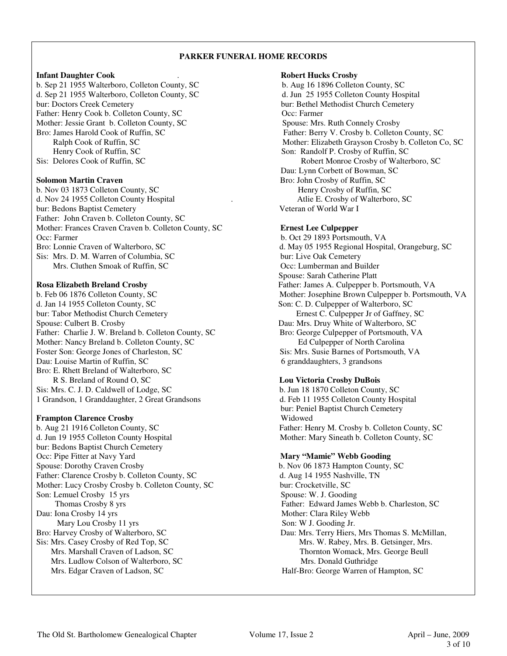# **PARKER FUNERAL HOME RECORDS**

# **Infant Daughter Cook** . **Robert Hucks Crosby**

b. Sep 21 1955 Walterboro, Colleton County, SC b. Aug 16 1896 Colleton County, SC d. Sep 21 1955 Walterboro, Colleton County, SC d. Jun 25 1955 Colleton County Hospital bur: Doctors Creek Cemetery bur: Bethel Methodist Church Cemetery Father: Henry Cook b. Colleton County, SC Occ: Farmer Mother: Jessie Grant b. Colleton County, SC Spouse: Mrs. Ruth Connely Crosby Henry Cook of Ruffin, SC Son: Randolf P. Crosby of Ruffin, SC Sis: Delores Cook of Ruffin, SC Robert Monroe Crosby of Walterboro, SC

b. Nov 03 1873 Colleton County, SC Henry Crosby of Ruffin, SC d. Nov 24 1955 Colleton County Hospital . Atlie E. Crosby of Walterboro, SC<br>
bur: Bedons Bantist Cemetery **SC**<br>
Veteran of World War I bur: Bedons Baptist Cemetery Father: John Craven b. Colleton County, SC Mother: Frances Craven Craven b. Colleton County, SC **Ernest Lee Culpepper** Occ: Farmer b. Oct 29 1893 Portsmouth, VA Bro: Lonnie Craven of Walterboro, SC d. May 05 1955 Regional Hospital, Orangeburg, SC Sis: Mrs. D. M. Warren of Columbia, SC<br>Mrs. Cluthen Smoak of Ruffin. SC<br>Coc: Lumberman and Builder Mrs. Cluthen Smoak of Ruffin, SC

d. Jan 14 1955 Colleton County, SC Son: C. D. Culpepper of Walterboro, SC bur: Tabor Methodist Church Cemetery Ernest C. Culpepper Jr of Gaffney, SC Spouse: Culbert B. Crosby **Dau: Mrs. Druy White of Walterboro, SC** Father: Charlie J. W. Breland b. Colleton County, SC Bro: George Culpepper of Portsmouth, VA Mother: Nancy Breland b. Colleton County, SC<br>
Foster Son: George Jones of Charleston, SC<br>
Sis: Mrs. Susie Barnes of Portsmouth, VA Foster Son: George Jones of Charleston, SC Dau: Louise Martin of Ruffin, SC 6 granddaughters, 3 grandsons Bro: E. Rhett Breland of Walterboro, SC R S. Breland of Round O, SC **Lou Victoria Crosby DuBois** Sis: Mrs. C. J. D. Caldwell of Lodge, SC b. Jun 18 1870 Colleton County, SC

# **Frampton Clarence Crosby** Widowed

b. Aug 21 1916 Colleton County, SC<br>
d. Jun 19 1955 Colleton County Hospital<br>
Mother: Mary Sineath b. Colleton County, SC bur: Bedons Baptist Church Cemetery Occ: Pipe Fitter at Navy Yard **Mary "Mamie" Webb Gooding** Spouse: Dorothy Craven Crosby b. Nov 06 1873 Hampton County, SC Father: Clarence Crosby b. Colleton County, SC d. Aug 14 1955 Nashville, TN Mother: Lucy Crosby Crosby b. Colleton County, SC bur: Crocketville, SC Son: Lemuel Crosby 15 yrs Spouse: W. J. Gooding Dau: Iona Crosby 14 yrs Mother: Clara Riley Webb Mary Lou Crosby 11 yrs Son: W J. Gooding Jr.<br>
Bro: Harvey Crosby of Walterboro, SC Dau: Mrs. Terry Hiers, Sis: Mrs. Casey Crosby of Red Top, SC Mrs. W. Rabey, Mrs. B. Getsinger, Mrs. Marshall Craven of Ladson, SC Thornton Womack, Mrs. George Beull Mrs. Ludlow Colson of Walterboro, SC Mrs. Donald Guthridge Mrs. Edgar Craven of Ladson, SC Half-Bro: George Warren of Hampton, SC

Bro: James Harold Cook of Ruffin, SC Father: Berry V. Crosby b. Colleton County, SC Ralph Cook of Ruffin, SC Mother: Elizabeth Grayson Crosby b. Colleton Co, SC Dau: Lynn Corbett of Bowman, SC **Solomon Martin Craven Bro: John Crosby of Ruffin, SC** 

 Spouse: Sarah Catherine Platt **Rosa Elizabeth Breland Crosby** Father: James A. Culpepper b. Portsmouth, VA b. Feb 06 1876 Colleton County, SC Mother: Josephine Brown Culpepper b. Portsmouth, VA

1 Grandson, 1 Granddaughter, 2 Great Grandsons d. Feb 11 1955 Colleton County Hospital bur: Peniel Baptist Church Cemetery Mother: Mary Sineath b. Colleton County, SC

 Thomas Crosby 8 yrs Father: Edward James Webb b. Charleston, SC Dau: Mrs. Terry Hiers, Mrs Thomas S. McMillan, Thornton Womack, Mrs. George Beull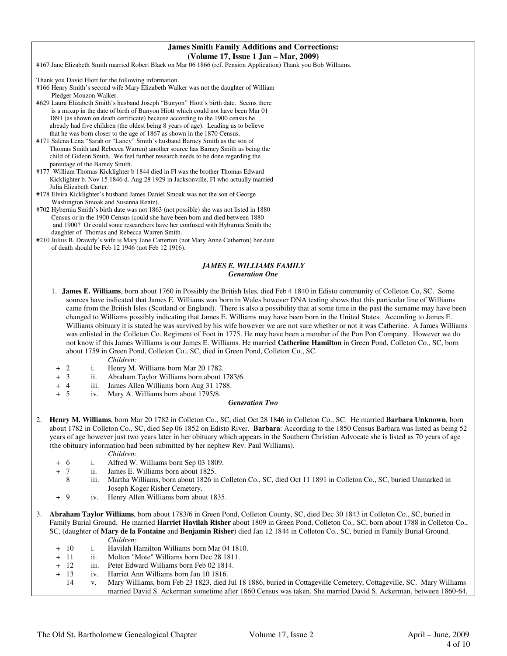# **James Smith Family Additions and Corrections: (Volume 17, Issue 1 Jan – Mar, 2009)**

#167 Jane Elizabeth Smith married Robert Black on Mar 06 1866 (ref. Pension Application) Thank you Bob Williams.

Thank you David Hiott for the following information.

#166 Henry Smith's second wife Mary Elizabeth Walker was not the daughter of William Pledger Mouzon Walker.

- #629 Laura Elizabeth Smith's husband Joseph "Bunyon" Hiott's birth date. Seems there is a mixup in the date of birth of Bunyon Hiott which could not have been Mar 01 1891 (as shown on death certificate) because according to the 1900 census he already had five children (the oldest being 8 years of age). Leading us to believe that he was born closer to the age of 1867 as shown in the 1870 Census.
- #171 Salena Lena "Sarah or "Laney" Smith's husband Barney Smith as the son of Thomas Smith and Rebecca Warren) another source has Barney Smith as being the child of Gideon Smith. We feel further research needs to be done regarding the parentage of the Barney Smith.
- #177 William Thomas Kicklighter b 1844 died in Fl was the brother Thomas Edward Kicklighter b. Nov 15 1846 d. Aug 28 1929 in Jacksonville, Fl who actually married Julia Elizabeth Carter.
- #178 Elvira Kicklighter's husband James Daniel Smoak was not the son of George Washington Smoak and Susanna Rentz).
- #702 Hybernia Smith's birth date was not 1863 (not possible) she was not listed in 1880 Census or in the 1900 Census (could she have been born and died between 1880 and 1900? Or could some researchers have her confused with Hyburnia Smith the daughter of Thomas and Rebecca Warren Smith.
- #210 Julius B. Drawdy's wife is Mary Jane Catterton (not Mary Anne Catherton) her date of death should be Feb 12 1946 (not Feb 12 1916).

# *JAMES E. WILLIAMS FAMILY Generation One*

- 1. **James E. Williams**, born about 1760 in Possibly the British Isles, died Feb 4 1840 in Edisto community of Colleton Co, SC. Some sources have indicated that James E. Williams was born in Wales however DNA testing shows that this particular line of Williams came from the British Isles (Scotland or England). There is also a possibility that at some time in the past the surname may have been changed to Williams possibly indicating that James E. Williams may have been born in the United States. According to James E. Williams obituary it is stated he was survived by his wife however we are not sure whether or not it was Catherine. A James Williams was enlisted in the Colleton Co. Regiment of Foot in 1775. He may have been a member of the Pon Pon Company. However we do not know if this James Williams is our James E. Williams. He married **Catherine Hamilton** in Green Pond, Colleton Co., SC, born about 1759 in Green Pond, Colleton Co., SC, died in Green Pond, Colleton Co., SC.
	- *Children:*
	- + 2 i. Henry M. Williams born Mar 20 1782.
	- + 3 ii. Abraham Taylor Williams born about 1783/6.<br>+ 4 iii. James Allen Williams born Aug 31 1788.
	- + 4 iii. James Allen Williams born Aug 31 1788.
	- + 5 iv. Mary A. Williams born about 1795/8.

### *Generation Two*

2. **Henry M. Williams**, born Mar 20 1782 in Colleton Co., SC, died Oct 28 1846 in Colleton Co., SC. He married **Barbara Unknown**, born about 1782 in Colleton Co., SC, died Sep 06 1852 on Edisto River. **Barbara**: According to the 1850 Census Barbara was listed as being 52 years of age however just two years later in her obituary which appears in the Southern Christian Advocate she is listed as 70 years of age (the obituary information had been submitted by her nephew Rev. Paul Williams).

- + 6 i. Alfred W. Williams born Sep 03 1809.
	-
- + 7 ii. James E. Williams born about 1825. Martha Williams, born about 1826 in Colleton Co., SC, died Oct 11 1891 in Colleton Co., SC, buried Unmarked in Joseph Koger Risher Cemetery.
- + 9 iv. Henry Allen Williams born about 1835.
- 3. **Abraham Taylor Williams**, born about 1783/6 in Green Pond, Colleton County, SC, died Dec 30 1843 in Colleton Co., SC, buried in Family Burial Ground. He married **Harriet Havilah Risher** about 1809 in Green Pond, Colleton Co., SC, born about 1788 in Colleton Co., SC, (daughter of **Mary de la Fontaine** and **Benjamin Risher**) died Jan 12 1844 in Colleton Co., SC, buried in Family Burial Ground. *Children:*
	- + 10 i. Havilah Hamilton Williams born Mar 04 1810.
	- + 11 ii. Molton "Mote" Williams born Dec 28 1811.
	- + 12 iii. Peter Edward Williams born Feb 02 1814.
	- + 13 iv. Harriet Ann Williams born Jan 10 1816.
	- 14 v. Mary Williams, born Feb 23 1823, died Jul 18 1886, buried in Cottageville Cemetery, Cottageville, SC. Mary Williams married David S. Ackerman sometime after 1860 Census was taken. She married David S. Ackerman, between 1860-64,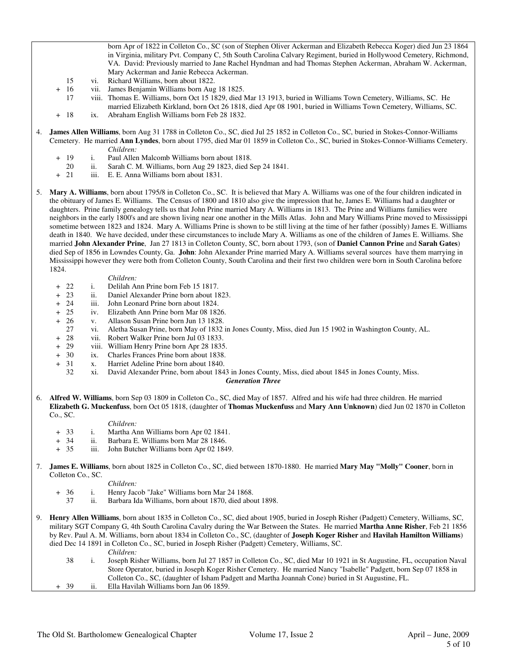born Apr of 1822 in Colleton Co., SC (son of Stephen Oliver Ackerman and Elizabeth Rebecca Koger) died Jun 23 1864 in Virginia, military Pvt. Company C, 5th South Carolina Calvary Regiment, buried in Hollywood Cemetery, Richmond, VA. David: Previously married to Jane Rachel Hyndman and had Thomas Stephen Ackerman, Abraham W. Ackerman, Mary Ackerman and Janie Rebecca Ackerman.

- 15 vi. Richard Williams, born about 1822.
- + 16 vii. James Benjamin Williams born Aug 18 1825.
- 17 viii. Thomas E. Williams, born Oct 15 1829, died Mar 13 1913, buried in Williams Town Cemetery, Williams, SC. He married Elizabeth Kirkland, born Oct 26 1818, died Apr 08 1901, buried in Williams Town Cemetery, Williams, SC.
- + 18 ix. Abraham English Williams born Feb 28 1832.
- 4. **James Allen Williams**, born Aug 31 1788 in Colleton Co., SC, died Jul 25 1852 in Colleton Co., SC, buried in Stokes-Connor-Williams Cemetery. He married **Ann Lyndes**, born about 1795, died Mar 01 1859 in Colleton Co., SC, buried in Stokes-Connor-Williams Cemetery. *Children:*
	- + 19 i. Paul Allen Malcomb Williams born about 1818.
		- 20 ii. Sarah C. M. Williams, born Aug 29 1823, died Sep 24 1841.
	- + 21 iii. E. E. Anna Williams born about 1831.

5. **Mary A. Williams**, born about 1795/8 in Colleton Co., SC. It is believed that Mary A. Williams was one of the four children indicated in the obituary of James E. Williams. The Census of 1800 and 1810 also give the impression that he, James E. Williams had a daughter or daughters. Prine family genealogy tells us that John Prine married Mary A. Williams in 1813. The Prine and Williams families were neighbors in the early 1800's and are shown living near one another in the Mills Atlas. John and Mary Williams Prine moved to Mississippi sometime between 1823 and 1824. Mary A. Williams Prine is shown to be still living at the time of her father (possibly) James E. Williams death in 1840. We have decided, under these circumstances to include Mary A. Williams as one of the children of James E. Williams. She married **John Alexander Prine**, Jan 27 1813 in Colleton County, SC, born about 1793, (son of **Daniel Cannon Prine** and **Sarah Gates**) died Sep of 1856 in Lowndes County, Ga. **John**: John Alexander Prine married Mary A. Williams several sources have them marrying in Mississippi however they were both from Colleton County, South Carolina and their first two children were born in South Carolina before 1824.

- *Children:*<br>+ 22 i. Delilah A i. Delilah Ann Prine born Feb 15 1817.
- + 23 ii. Daniel Alexander Prine born about 1823.
- + 24 iii. John Leonard Prine born about 1824.
- + 25 iv. Elizabeth Ann Prine born Mar 08 1826.
- + 26 v. Allason Susan Prine born Jun 13 1828.
	- 27 vi. Aletha Susan Prine, born May of 1832 in Jones County, Miss, died Jun 15 1902 in Washington County, AL.
- + 28 vii. Robert Walker Prine born Jul 03 1833.
- + 29 viii. William Henry Prine born Apr 28 1835.
- + 30 ix. Charles Frances Prine born about 1838.<br>+ 31 x. Harriet Adeline Prine born about 1840.
- + 31 x. Harriet Adeline Prine born about 1840.
	- 32 xi. David Alexander Prine, born about 1843 in Jones County, Miss, died about 1845 in Jones County, Miss.

### *Generation Three*

6. **Alfred W. Williams**, born Sep 03 1809 in Colleton Co., SC, died May of 1857. Alfred and his wife had three children. He married **Elizabeth G. Muckenfuss**, born Oct 05 1818, (daughter of **Thomas Muckenfuss** and **Mary Ann Unknown**) died Jun 02 1870 in Colleton Co., SC.

### *Children:*

- + 33 i. Martha Ann Williams born Apr 02 1841.
- + 34 ii. Barbara E. Williams born Mar 28 1846.
- + 35 iii. John Butcher Williams born Apr 02 1849.
- 7. **James E. Williams**, born about 1825 in Colleton Co., SC, died between 1870-1880. He married **Mary May "Molly" Cooner**, born in Colleton Co., SC.

*Children:*

- + 36 i. Henry Jacob "Jake" Williams born Mar 24 1868.
	- ii. Barbara Ida Williams, born about 1870, died about 1898.
- 9. **Henry Allen Williams**, born about 1835 in Colleton Co., SC, died about 1905, buried in Joseph Risher (Padgett) Cemetery, Williams, SC, military SGT Company G, 4th South Carolina Cavalry during the War Between the States. He married **Martha Anne Risher**, Feb 21 1856 by Rev. Paul A. M. Williams, born about 1834 in Colleton Co., SC, (daughter of **Joseph Koger Risher** and **Havilah Hamilton Williams**) died Dec 14 1891 in Colleton Co., SC, buried in Joseph Risher (Padgett) Cemetery, Williams, SC.

- 38 i. Joseph Risher Williams, born Jul 27 1857 in Colleton Co., SC, died Mar 10 1921 in St Augustine, FL, occupation Naval Store Operator, buried in Joseph Koger Risher Cemetery. He married Nancy "Isabelle" Padgett, born Sep 07 1858 in Colleton Co., SC, (daughter of Isham Padgett and Martha Joannah Cone) buried in St Augustine, FL. + 39 ii. Ella Havilah Williams born Jan 06 1859.
- The Old St. Bartholomew Genealogical Chapter Volume 17, Issue 2 April June, 2009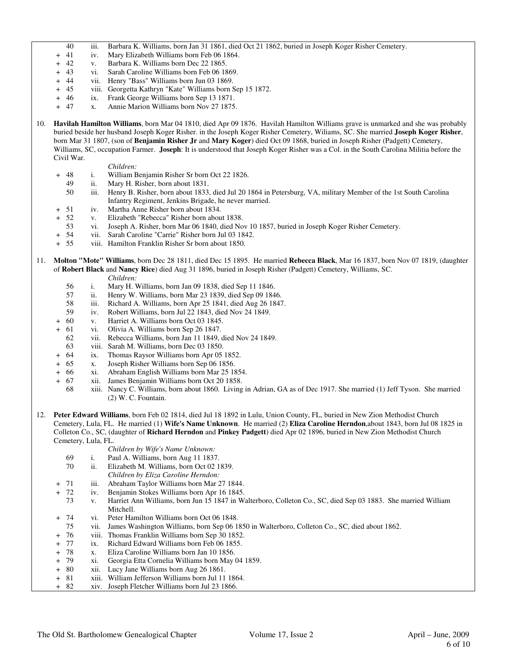- 40 iii. Barbara K. Williams, born Jan 31 1861, died Oct 21 1862, buried in Joseph Koger Risher Cemetery.<br>41 iv. Mary Elizabeth Williams born Feb 06 1864.
- + 41 iv. Mary Elizabeth Williams born Feb 06 1864.<br>+ 42 v. Barbara K. Williams born Dec 22 1865.
- + 42 v. Barbara K. Williams born Dec 22 1865.
- + 43 vi. Sarah Caroline Williams born Feb 06 1869.
- + 44 vii. Henry "Bass" Williams born Jun 03 1869.
- + 45 viii. Georgetta Kathryn "Kate" Williams born Sep 15 1872.
- + 46 ix. Frank George Williams born Sep 13 1871.
- + 47 x. Annie Marion Williams born Nov 27 1875.
- 10. **Havilah Hamilton Williams**, born Mar 04 1810, died Apr 09 1876. Havilah Hamilton Williams grave is unmarked and she was probably buried beside her husband Joseph Koger Risher. in the Joseph Koger Risher Cemetery, Wiliams, SC. She married **Joseph Koger Risher**, born Mar 31 1807, (son of **Benjamin Risher Jr** and **Mary Koger**) died Oct 09 1868, buried in Joseph Risher (Padgett) Cemetery, Williams, SC, occupation Farmer. **Joseph**: It is understood that Joseph Koger Risher was a Col. in the South Carolina Militia before the Civil War.

- + 48 i. William Benjamin Risher Sr born Oct 22 1826.
- 49 ii. Mary H. Risher, born about 1831.
	- 50 iii. Henry B. Risher, born about 1833, died Jul 20 1864 in Petersburg, VA, military Member of the 1st South Carolina Infantry Regiment, Jenkins Brigade, he never married.
- + 51 iv. Martha Anne Risher born about 1834.
- + 52 v. Elizabeth "Rebecca" Risher born about 1838.
- 53 vi. Joseph A. Risher, born Mar 06 1840, died Nov 10 1857, buried in Joseph Koger Risher Cemetery.
- + 54 vii. Sarah Caroline "Carrie" Risher born Jul 03 1842.
- + 55 viii. Hamilton Franklin Risher Sr born about 1850.
- 11. **Molton "Mote" Williams**, born Dec 28 1811, died Dec 15 1895. He married **Rebecca Black**, Mar 16 1837, born Nov 07 1819, (daughter of **Robert Black** and **Nancy Rice**) died Aug 31 1896, buried in Joseph Risher (Padgett) Cemetery, Williams, SC.
	- *Children:* 56 i. Mary H. Williams, born Jan 09 1838, died Sep 11 1846.
	- 57 ii. Henry W. Williams, born Mar 23 1839, died Sep 09 1846.
	- 58 iii. Richard A. Williams, born Apr 25 1841, died Aug 26 1847.
	- 59 iv. Robert Williams, born Jul 22 1843, died Nov 24 1849.
	- + 60 v. Harriet A. Williams born Oct 03 1845.
	- + 61 vi. Olivia A. Williams born Sep 26 1847.
		- 62 vii. Rebecca Williams, born Jan 11 1849, died Nov 24 1849.
		- 63 viii. Sarah M. Williams, born Dec 03 1850.
	-
	- + 64 ix. Thomas Raysor Williams born Apr 05 1852. + 65 x. Joseph Risher Williams born Sep 06 1856.
	- + 66 xi. Abraham English Williams born Mar 25 1854.
	- + 67 xii. James Benjamin Williams born Oct 20 1858.
		- 68 xiii. Nancy C. Williams, born about 1860. Living in Adrian, GA as of Dec 1917. She married (1) Jeff Tyson. She married (2) W. C. Fountain.
- 12. **Peter Edward Williams**, born Feb 02 1814, died Jul 18 1892 in Lulu, Union County, FL, buried in New Zion Methodist Church Cemetery, Lula, FL. He married (1) **Wife's Name Unknown**. He married (2) **Eliza Caroline Herndon**,about 1843, born Jul 08 1825 in Colleton Co., SC, (daughter of **Richard Herndon** and **Pinkey Padgett**) died Apr 02 1896, buried in New Zion Methodist Church Cemetery, Lula, FL.
	- *Children by Wife's Name Unknown:*
	- 69 i. Paul A. Williams, born Aug 11 1837.
	- 70 ii. Elizabeth M. Williams, born Oct 02 1839.
		- *Children by Eliza Caroline Herndon:*
	- + 71 iii. Abraham Taylor Williams born Mar 27 1844.
	- 72 iv. Benjamin Stokes Williams born Apr 16 1845.<br>73 v. Harriet Ann Williams, born Jun 15 1847 in W
	- v. Harriet Ann Williams, born Jun 15 1847 in Walterboro, Colleton Co., SC, died Sep 03 1883. She married William Mitchell.
	- + 74 vi. Peter Hamilton Williams born Oct 06 1848.
	- 75 vii. James Washington Williams, born Sep 06 1850 in Walterboro, Colleton Co., SC, died about 1862.
	- + 76 viii. Thomas Franklin Williams born Sep 30 1852.
	- + 77 ix. Richard Edward Williams born Feb 06 1855.
	- + 78 x. Eliza Caroline Williams born Jan 10 1856.
	- + 79 xi. Georgia Etta Cornelia Williams born May 04 1859.
	- + 80 xii. Lucy Jane Williams born Aug 26 1861.
	- + 81 xiii. William Jefferson Williams born Jul 11 1864.
	- xiv. Joseph Fletcher Williams born Jul 23 1866.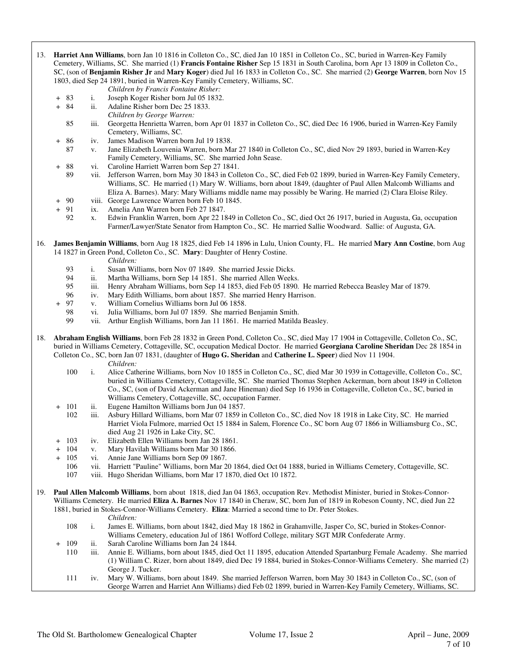- 13. **Harriet Ann Williams**, born Jan 10 1816 in Colleton Co., SC, died Jan 10 1851 in Colleton Co., SC, buried in Warren-Key Family Cemetery, Williams, SC. She married (1) **Francis Fontaine Risher** Sep 15 1831 in South Carolina, born Apr 13 1809 in Colleton Co., SC, (son of **Benjamin Risher Jr** and **Mary Koger**) died Jul 16 1833 in Colleton Co., SC. She married (2) **George Warren**, born Nov 15 1803, died Sep 24 1891, buried in Warren-Key Family Cemetery, Williams, SC.
	- *Children by Francis Fontaine Risher:*
	- + 83 i. Joseph Koger Risher born Jul 05 1832.
	- + 84 ii. Adaline Risher born Dec 25 1833.
		- *Children by George Warren:*
		- 85 iii. Georgetta Henrietta Warren, born Apr 01 1837 in Colleton Co., SC, died Dec 16 1906, buried in Warren-Key Family Cemetery, Williams, SC.
	- 86 iv. James Madison Warren born Jul 19 1838.<br>87 v. Jane Elizabeth Louvenia Warren, born Ma
	- 87 v. Jane Elizabeth Louvenia Warren, born Mar 27 1840 in Colleton Co., SC, died Nov 29 1893, buried in Warren-Key Family Cemetery, Williams, SC. She married John Sease.
	- + 88 vi. Caroline Harriett Warren born Sep 27 1841.
		- 89 vii. Jefferson Warren, born May 30 1843 in Colleton Co., SC, died Feb 02 1899, buried in Warren-Key Family Cemetery, Williams, SC. He married (1) Mary W. Williams, born about 1849, (daughter of Paul Allen Malcomb Williams and Eliza A. Barnes). Mary: Mary Williams middle name may possibly be Waring. He married (2) Clara Eloise Riley.
	- + 90 viii. George Lawrence Warren born Feb 10 1845.
	- + 91 ix. Amelia Ann Warren born Feb 27 1847.
		- 92 x. Edwin Franklin Warren, born Apr 22 1849 in Colleton Co., SC, died Oct 26 1917, buried in Augusta, Ga, occupation Farmer/Lawyer/State Senator from Hampton Co., SC. He married Sallie Woodward. Sallie: of Augusta, GA.
- 16. **James Benjamin Williams**, born Aug 18 1825, died Feb 14 1896 in Lulu, Union County, FL. He married **Mary Ann Costine**, born Aug 14 1827 in Green Pond, Colleton Co., SC. **Mary**: Daughter of Henry Costine.
	-
	- *Children:*<br>
	93 *i.* Susan Wi 93 i. Susan Williams, born Nov 07 1849. She married Jessie Dicks.<br>94 ii. Martha Williams, born Sep 14 1851. She married Allen Weeks
	- 94 ii. Martha Williams, born Sep 14 1851. She married Allen Weeks.<br>95 iii. Henry Abraham Williams, born Sep 14 1853, died Feb 05 1890.
	- iii. Henry Abraham Williams, born Sep 14 1853, died Feb 05 1890. He married Rebecca Beasley Mar of 1879.
	- 96 iv. Mary Edith Williams, born about 1857. She married Henry Harrison.
	- + 97 v. William Cornelius Williams born Jul 06 1858.
		- 98 vi. Julia Williams, born Jul 07 1859. She married Benjamin Smith.
		- vii. Arthur English Williams, born Jan 11 1861. He married Matilda Beasley.
- 18. **Abraham English Williams**, born Feb 28 1832 in Green Pond, Colleton Co., SC, died May 17 1904 in Cottageville, Colleton Co., SC, buried in Williams Cemetery, Cottageville, SC, occupation Medical Doctor. He married **Georgiana Caroline Sheridan** Dec 28 1854 in Colleton Co., SC, born Jan 07 1831, (daughter of **Hugo G. Sheridan** and **Catherine L. Speer**) died Nov 11 1904. *Children:*
	- 100 i. Alice Catherine Williams, born Nov 10 1855 in Colleton Co., SC, died Mar 30 1939 in Cottageville, Colleton Co., SC, buried in Williams Cemetery, Cottageville, SC. She married Thomas Stephen Ackerman, born about 1849 in Colleton Co., SC, (son of David Ackerman and Jane Hineman) died Sep 16 1936 in Cottageville, Colleton Co., SC, buried in Williams Cemetery, Cottageville, SC, occupation Farmer.
	- + 101 ii. Eugene Hamilton Williams born Jun 04 1857.
		- 102 iii. Asbury Hillard Williams, born Mar 07 1859 in Colleton Co., SC, died Nov 18 1918 in Lake City, SC. He married Harriet Viola Fulmore, married Oct 15 1884 in Salem, Florence Co., SC born Aug 07 1866 in Williamsburg Co., SC, died Aug 21 1926 in Lake City, SC.
	- + 103 iv. Elizabeth Ellen Williams born Jan 28 1861.
	- + 104 v. Mary Havilah Williams born Mar 30 1866.
	- + 105 vi. Annie Jane Williams born Sep 09 1867.
		- 106 vii. Harriett "Pauline" Williams, born Mar 20 1864, died Oct 04 1888, buried in Williams Cemetery, Cottageville, SC.
		- 107 viii. Hugo Sheridan Williams, born Mar 17 1870, died Oct 10 1872.
- 19. **Paul Allen Malcomb Williams**, born about 1818, died Jan 04 1863, occupation Rev. Methodist Minister, buried in Stokes-Connor-Williams Cemetery. He married **Eliza A. Barnes** Nov 17 1840 in Cheraw, SC, born Jun of 1819 in Robeson County, NC, died Jun 22 1881, buried in Stokes-Connor-Williams Cemetery. **Eliza**: Married a second time to Dr. Peter Stokes.
	- *Children:*
	- 108 i. James E. Williams, born about 1842, died May 18 1862 in Grahamville, Jasper Co, SC, buried in Stokes-Connor-Williams Cemetery, education Jul of 1861 Wofford College, military SGT MJR Confederate Army.
	- + 109 ii. Sarah Caroline Williams born Jan 24 1844.
	- 110 iii. Annie E. Williams, born about 1845, died Oct 11 1895, education Attended Spartanburg Female Academy. She married (1) William C. Rizer, born about 1849, died Dec 19 1884, buried in Stokes-Connor-Williams Cemetery. She married (2) George J. Tucker.
	- 111 iv. Mary W. Williams, born about 1849. She married Jefferson Warren, born May 30 1843 in Colleton Co., SC, (son of George Warren and Harriet Ann Williams) died Feb 02 1899, buried in Warren-Key Family Cemetery, Williams, SC.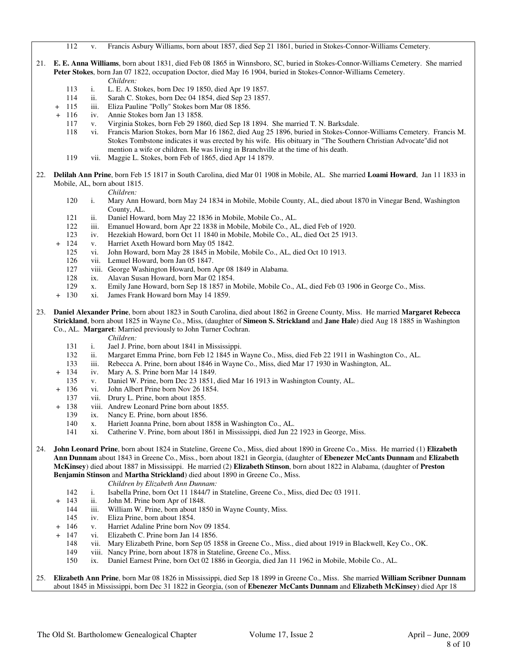112 v. Francis Asbury Williams, born about 1857, died Sep 21 1861, buried in Stokes-Connor-Williams Cemetery.

- 21. **E. E. Anna Williams**, born about 1831, died Feb 08 1865 in Winnsboro, SC, buried in Stokes-Connor-Williams Cemetery. She married **Peter Stokes**, born Jan 07 1822, occupation Doctor, died May 16 1904, buried in Stokes-Connor-Williams Cemetery. *Children:*
	- 113 i. L. E. A. Stokes, born Dec 19 1850, died Apr 19 1857.
	- 114 ii. Sarah C. Stokes, born Dec 04 1854, died Sep 23 1857.
	- + 115 iii. Eliza Pauline "Polly" Stokes born Mar 08 1856.
	- + 116 iv. Annie Stokes born Jan 13 1858.
		- 117 v. Virginia Stokes, born Feb 29 1860, died Sep 18 1894. She married T. N. Barksdale.
		- 118 vi. Francis Marion Stokes, born Mar 16 1862, died Aug 25 1896, buried in Stokes-Connor-Williams Cemetery. Francis M. Stokes Tombstone indicates it was erected by his wife. His obituary in "The Southern Christian Advocate"did not mention a wife or children. He was living in Branchville at the time of his death.
		- 119 vii. Maggie L. Stokes, born Feb of 1865, died Apr 14 1879.
- 22. **Delilah Ann Prine**, born Feb 15 1817 in South Carolina, died Mar 01 1908 in Mobile, AL. She married **Loami Howard**, Jan 11 1833 in Mobile, AL, born about 1815.

*Children:*

- 120 i. Mary Ann Howard, born May 24 1834 in Mobile, Mobile County, AL, died about 1870 in Vinegar Bend, Washington County, AL.
- 121 ii. Daniel Howard, born May 22 1836 in Mobile, Mobile Co., AL.
- 122 iii. Emanuel Howard, born Apr 22 1838 in Mobile, Mobile Co., AL, died Feb of 1920.
- 123 iv. Hezekiah Howard, born Oct 11 1840 in Mobile, Mobile Co., AL, died Oct 25 1913.
- v. Harriet Axeth Howard born May 05 1842.
- 125 vi. John Howard, born May 28 1845 in Mobile, Mobile Co., AL, died Oct 10 1913.
- 126 vii. Lemuel Howard, born Jan 05 1847.
- 127 viii. George Washington Howard, born Apr 08 1849 in Alabama.<br>128 ix. Alavan Susan Howard, born Mar 02 1854.
- 128 ix. Alavan Susan Howard, born Mar 02 1854.<br>129 x. Emily Jane Howard, born Sep 18 1857 in 1
- x. Emily Jane Howard, born Sep 18 1857 in Mobile, Mobile Co., AL, died Feb 03 1906 in George Co., Miss.
- + 130 xi. James Frank Howard born May 14 1859.
- 23. **Daniel Alexander Prine**, born about 1823 in South Carolina, died about 1862 in Greene County, Miss. He married **Margaret Rebecca Strickland**, born about 1825 in Wayne Co., Miss, (daughter of **Simeon S. Strickland** and **Jane Hale**) died Aug 18 1885 in Washington Co., AL. **Margaret**: Married previously to John Turner Cochran.
	- *Children:*
	- 131 i. Jael J. Prine, born about 1841 in Mississippi.
	- 132 ii. Margaret Emma Prine, born Feb 12 1845 in Wayne Co., Miss, died Feb 22 1911 in Washington Co., AL. 133 iii. Rebecca A. Prine, born about 1846 in Wayne Co., Miss, died Mar 17 1930 in Washington, AL.
	- iii. Rebecca A. Prine, born about 1846 in Wayne Co., Miss, died Mar 17 1930 in Washington, AL.
	- 134 iv. Mary A. S. Prine born Mar 14 1849.
	- 135 v. Daniel W. Prine, born Dec 23 1851, died Mar 16 1913 in Washington County, AL.
	- 136 vi. John Albert Prine born Nov 26 1854.
	- 137 vii. Drury L. Prine, born about 1855.
	- 138 viii. Andrew Leonard Prine born about 1855.
	- 139 ix. Nancy E. Prine, born about 1856.
	- 140 x. Hariett Joanna Prine, born about 1858 in Washington Co., AL.
	- 141 xi. Catherine V. Prine, born about 1861 in Mississippi, died Jun 22 1923 in George, Miss.
- 24. **John Leonard Prine**, born about 1824 in Stateline, Greene Co., Miss, died about 1890 in Greene Co., Miss. He married (1) **Elizabeth Ann Dunnam** about 1843 in Greene Co., Miss., born about 1821 in Georgia, (daughter of **Ebenezer McCants Dunnam** and **Elizabeth McKinsey**) died about 1887 in Mississippi. He married (2) **Elizabeth Stinson**, born about 1822 in Alabama, (daughter of **Preston Benjamin Stinson** and **Martha Strickland**) died about 1890 in Greene Co., Miss.

- *Children by Elizabeth Ann Dunnam:*<br>142 *i.* Isabella Prine, born Oct 11 1844/7 in 142 i. Isabella Prine, born Oct 11 1844/7 in Stateline, Greene Co., Miss, died Dec 03 1911.
	- ii. John M. Prine born Apr of 1848.
	- 144 iii. William W. Prine, born about 1850 in Wayne County, Miss.
	- 145 iv. Eliza Prine, born about 1854.
	- 146 v. Harriet Adaline Prine born Nov 09 1854.
- 147 vi. Elizabeth C. Prine born Jan 14 1856.
	- 148 vii. Mary Elizabeth Prine, born Sep 05 1858 in Greene Co., Miss., died about 1919 in Blackwell, Key Co., OK.
	- 149 viii. Nancy Prine, born about 1878 in Stateline, Greene Co., Miss.
- 150 ix. Daniel Earnest Prine, born Oct 02 1886 in Georgia, died Jan 11 1962 in Mobile, Mobile Co., AL.

### 25. **Elizabeth Ann Prine**, born Mar 08 1826 in Mississippi, died Sep 18 1899 in Greene Co., Miss. She married **William Scribner Dunnam**  about 1845 in Mississippi, born Dec 31 1822 in Georgia, (son of **Ebenezer McCants Dunnam** and **Elizabeth McKinsey**) died Apr 18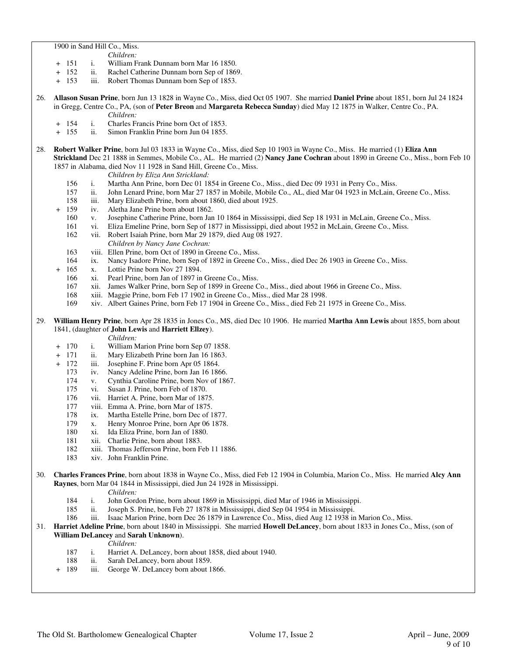1900 in Sand Hill Co., Miss.

- *Children:*
- + 151 i. William Frank Dunnam born Mar 16 1850.
- ii. Rachel Catherine Dunnam born Sep of 1869.
- + 153 iii. Robert Thomas Dunnam born Sep of 1853.
- 26. **Allason Susan Prine**, born Jun 13 1828 in Wayne Co., Miss, died Oct 05 1907. She married **Daniel Prine** about 1851, born Jul 24 1824 in Gregg, Centre Co., PA, (son of **Peter Breon** and **Margareta Rebecca Sunday**) died May 12 1875 in Walker, Centre Co., PA. *Children:*
	- + 154 i. Charles Francis Prine born Oct of 1853.
	- + 155 ii. Simon Franklin Prine born Jun 04 1855.
- 28. **Robert Walker Prine**, born Jul 03 1833 in Wayne Co., Miss, died Sep 10 1903 in Wayne Co., Miss. He married (1) **Eliza Ann Strickland** Dec 21 1888 in Semmes, Mobile Co., AL. He married (2) **Nancy Jane Cochran** about 1890 in Greene Co., Miss., born Feb 10 1857 in Alabama, died Nov 11 1928 in Sand Hill, Greene Co., Miss.
	- *Children by Eliza Ann Strickland:*
	- 156 i. Martha Ann Prine, born Dec 01 1854 in Greene Co., Miss., died Dec 09 1931 in Perry Co., Miss.
	- 157 ii. John Lenard Prine, born Mar 27 1857 in Mobile, Mobile Co., AL, died Mar 04 1923 in McLain, Greene Co., Miss.<br>158 iii. Mary Elizabeth Prine, born about 1860, died about 1925.
	- iii. Mary Elizabeth Prine, born about 1860, died about 1925.
	- 159 iv. Aletha Jane Prine born about 1862.
		- 160 v. Josephine Catherine Prine, born Jan 10 1864 in Mississippi, died Sep 18 1931 in McLain, Greene Co., Miss.
		- 161 vi. Eliza Emeline Prine, born Sep of 1877 in Mississippi, died about 1952 in McLain, Greene Co., Miss.
		- 162 vii. Robert Isaiah Prine, born Mar 29 1879, died Aug 08 1927.
			- *Children by Nancy Jane Cochran:*
		- 163 viii. Ellen Prine, born Oct of 1890 in Greene Co., Miss.
		- 164 ix. Nancy Isadore Prine, born Sep of 1892 in Greene Co., Miss., died Dec 26 1903 in Greene Co., Miss.
	- 165 x. Lottie Prine born Nov 27 1894.
	- 166 xi. Pearl Prine, born Jan of 1897 in Greene Co., Miss.
	- 167 xii. James Walker Prine, born Sep of 1899 in Greene Co., Miss., died about 1966 in Greene Co., Miss.
	- 168 xiii. Maggie Prine, born Feb 17 1902 in Greene Co., Miss., died Mar 28 1998.
	- 169 xiv. Albert Gaines Prine, born Feb 17 1904 in Greene Co., Miss., died Feb 21 1975 in Greene Co., Miss.

### 29. **William Henry Prine**, born Apr 28 1835 in Jones Co., MS, died Dec 10 1906. He married **Martha Ann Lewis** about 1855, born about 1841, (daughter of **John Lewis** and **Harriett Ellzey**).

- + 170 i. William Marion Prine born Sep 07 1858.
- + 171 ii. Mary Elizabeth Prine born Jan 16 1863.<br>+ 172 iii. Josephine F. Prine born Apr 05 1864.
- + 172 iii. Josephine F. Prine born Apr 05 1864.
	- 173 iv. Nancy Adeline Prine, born Jan 16 1866.
	- 174 v. Cynthia Caroline Prine, born Nov of 1867.
	- 175 vi. Susan J. Prine, born Feb of 1870.
	- 176 vii. Harriet A. Prine, born Mar of 1875.
	- 177 viii. Emma A. Prine, born Mar of 1875.
	- 178 ix. Martha Estelle Prine, born Dec of 1877.
	- 179 x. Henry Monroe Prine, born Apr 06 1878.
	- 180 xi. Ida Eliza Prine, born Jan of 1880.
	- 181 xii. Charlie Prine, born about 1883.<br>182 xiii. Thomas Jefferson Prine, born E
	- 182 xiii. Thomas Jefferson Prine, born Feb 11 1886.
	- 183 xiv. John Franklin Prine.
- 30. **Charles Frances Prine**, born about 1838 in Wayne Co., Miss, died Feb 12 1904 in Columbia, Marion Co., Miss. He married **Alcy Ann Raynes**, born Mar 04 1844 in Mississippi, died Jun 24 1928 in Mississippi.

- *Children:*<br>184 i. John Gord i. John Gordon Prine, born about 1869 in Mississippi, died Mar of 1946 in Mississippi.
- 185 ii. Joseph S. Prine, born Feb 27 1878 in Mississippi, died Sep 04 1954 in Mississippi.
- 186 iii. Isaac Marion Prine, born Dec 26 1879 in Lawrence Co., Miss, died Aug 12 1938 in Marion Co., Miss.
- 31. **Harriet Adeline Prine**, born about 1840 in Mississippi. She married **Howell DeLancey**, born about 1833 in Jones Co., Miss, (son of **William DeLancey** and **Sarah Unknown**).
	- *Children:*
	- 187 i. Harriet A. DeLancey, born about 1858, died about 1940.
	- 188 ii. Sarah DeLancey, born about 1859.<br>189 iii. George W. DeLancey born about 1
	- + 189 iii. George W. DeLancey born about 1866.